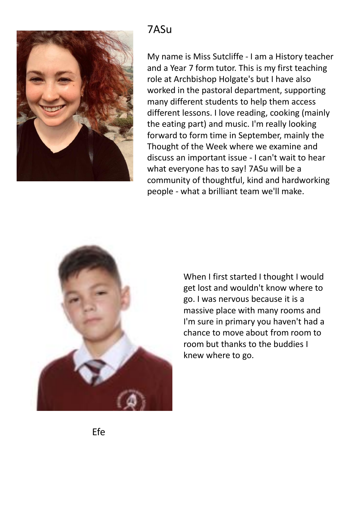

#### 7ASu

My name is Miss Sutcliffe - I am a History teacher and a Year 7 form tutor. This is my first teaching role at Archbishop Holgate's but I have also worked in the pastoral department, supporting many different students to help them access different lessons. I love reading, cooking (mainly the eating part) and music. I'm really looking forward to form time in September, mainly the Thought of the Week where we examine and discuss an important issue - I can't wait to hear what everyone has to say! 7ASu will be a community of thoughtful, kind and hardworking people - what a brilliant team we'll make.



When I first started I thought I would get lost and wouldn't know where to go. I was nervous because it is a massive place with many rooms and I'm sure in primary you haven't had a chance to move about from room to room but thanks to the buddies I knew where to go.

Efe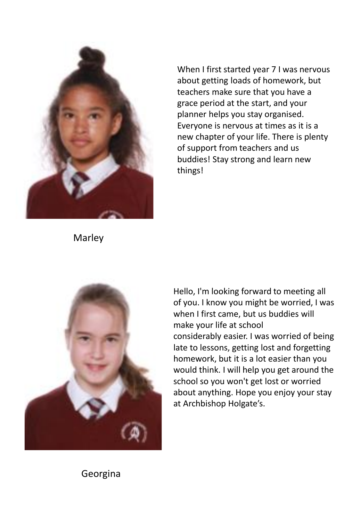

Marley

When I first started year 7 I was nervous about getting loads of homework, but teachers make sure that you have a grace period at the start, and your planner helps you stay organised. Everyone is nervous at times as it is a new chapter of your life. There is plenty of support from teachers and us buddies! Stay strong and learn new things!



Hello, I'm looking forward to meeting all of you. I know you might be worried, I was when I first came, but us buddies will make your life at school considerably easier. I was worried of being late to lessons, getting lost and forgetting homework, but it is a lot easier than you would think. I will help you get around the school so you won't get lost or worried about anything. Hope you enjoy your stay at Archbishop Holgate's.

#### Georgina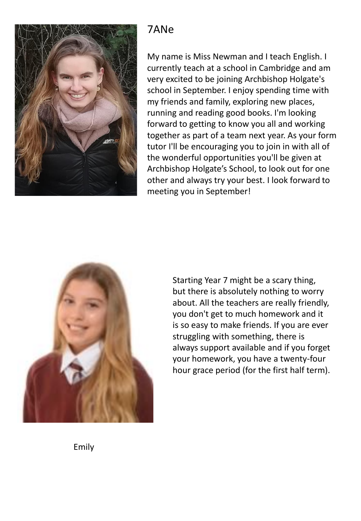

### 7ANe

My name is Miss Newman and I teach English. I currently teach at a school in Cambridge and am very excited to be joining Archbishop Holgate's school in September. I enjoy spending time with my friends and family, exploring new places, running and reading good books. I'm looking forward to getting to know you all and working together as part of a team next year. As your form tutor I'll be encouraging you to join in with all of the wonderful opportunities you'll be given at Archbishop Holgate's School, to look out for one other and always try your best. I look forward to meeting you in September!



Starting Year 7 might be a scary thing, but there is absolutely nothing to worry about. All the teachers are really friendly, you don't get to much homework and it is so easy to make friends. If you are ever struggling with something, there is always support available and if you forget your homework, you have a twenty-four hour grace period (for the first half term).

Emily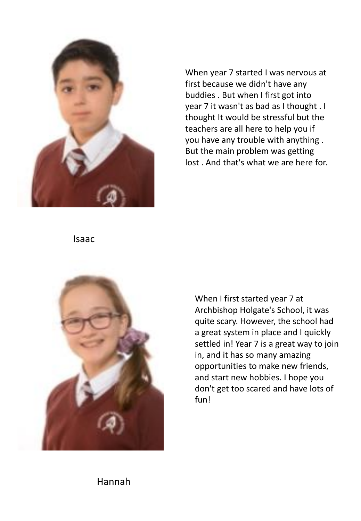

When year 7 started I was nervous at first because we didn't have any buddies . But when I first got into year 7 it wasn't as bad as I thought . I thought It would be stressful but the teachers are all here to help you if you have any trouble with anything . But the main problem was getting lost . And that's what we are here for.

Isaac



When I first started year 7 at Archbishop Holgate's School, it was quite scary. However, the school had a great system in place and I quickly settled in! Year 7 is a great way to join in, and it has so many amazing opportunities to make new friends, and start new hobbies. I hope you don't get too scared and have lots of fun!

Hannah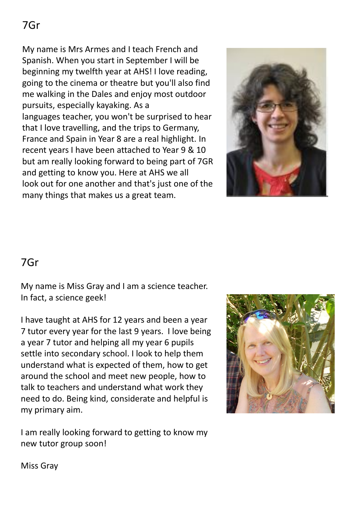My name is Mrs Armes and I teach French and Spanish. When you start in September I will be beginning my twelfth year at AHS! I love reading, going to the cinema or theatre but you'll also find me walking in the Dales and enjoy most outdoor pursuits, especially kayaking. As a languages teacher, you won't be surprised to hear that I love travelling, and the trips to Germany, France and Spain in Year 8 are a real highlight. In recent years I have been attached to Year 9 & 10 but am really looking forward to being part of 7GR and getting to know you. Here at AHS we all look out for one another and that's just one of the many things that makes us a great team.



#### 7Gr

My name is Miss Gray and I am a science teacher. In fact, a science geek!

I have taught at AHS for 12 years and been a year 7 tutor every year for the last 9 years. I love being a year 7 tutor and helping all my year 6 pupils settle into secondary school. I look to help them understand what is expected of them, how to get around the school and meet new people, how to talk to teachers and understand what work they need to do. Being kind, considerate and helpful is my primary aim.

I am really looking forward to getting to know my new tutor group soon!



Miss Gray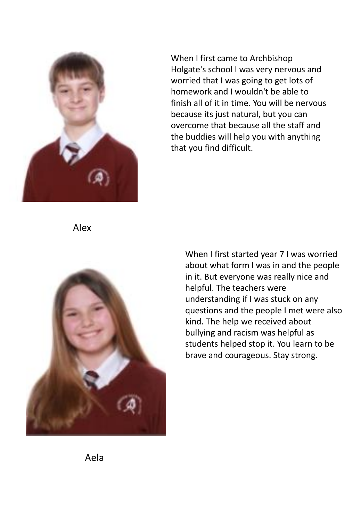

When I first came to Archbishop Holgate's school I was very nervous and worried that I was going to get lots of homework and I wouldn't be able to finish all of it in time. You will be nervous because its just natural, but you can overcome that because all the staff and the buddies will help you with anything that you find difficult.

Alex



When I first started year 7 I was worried about what form I was in and the people in it. But everyone was really nice and helpful. The teachers were understanding if I was stuck on any questions and the people I met were also kind. The help we received about bullying and racism was helpful as students helped stop it. You learn to be brave and courageous. Stay strong.

Aela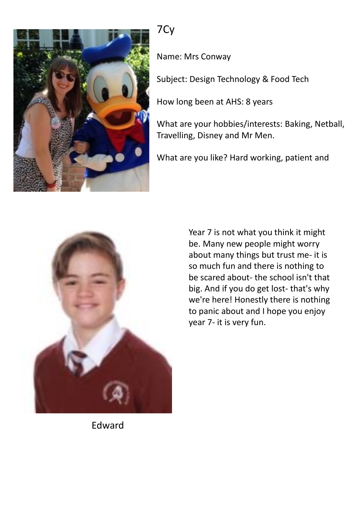

## 7Cy

Name: Mrs Conway

Subject: Design Technology & Food Tech

How long been at AHS: 8 years

What are your hobbies/interests: Baking, Netball, Travelling, Disney and Mr Men.

What are you like? Hard working, patient and



Year 7 is not what you think it might be. Many new people might worry about many things but trust me- it is so much fun and there is nothing to be scared about- the school isn't that big. And if you do get lost- that's why we're here! Honestly there is nothing to panic about and I hope you enjoy year 7- it is very fun.

Edward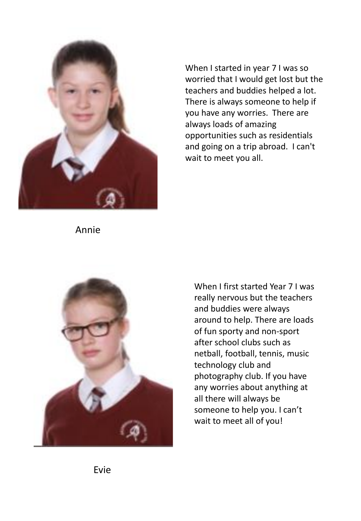

When I started in year 7 I was so worried that I would get lost but the teachers and buddies helped a lot. There is always someone to help if you have any worries. There are always loads of amazing opportunities such as residentials and going on a trip abroad. I can't wait to meet you all.

Annie



When I first started Year 7 I was really nervous but the teachers and buddies were always around to help. There are loads of fun sporty and non-sport after school clubs such as netball, football, tennis, music technology club and photography club. If you have any worries about anything at all there will always be someone to help you. I can't wait to meet all of you!

Evie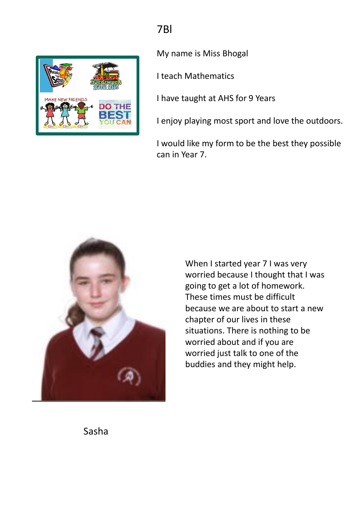# 7Bl



My name is Miss Bhogal

I teach Mathematics

I have taught at AHS for 9 Years

I enjoy playing most sport and love the outdoors.

I would like my form to be the best they possible can in Year 7.



When I started year 7 I was very worried because I thought that I was going to get a lot of homework. These times must be difficult because we are about to start a new chapter of our lives in these situations. There is nothing to be worried about and if you are worried just talk to one of the buddies and they might help.

Sasha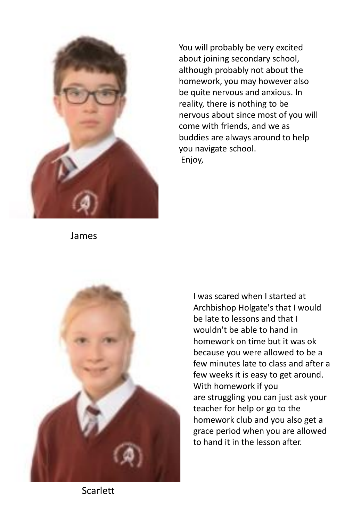

You will probably be very excited about joining secondary school, although probably not about the homework, you may however also be quite nervous and anxious. In reality, there is nothing to be nervous about since most of you will come with friends, and we as buddies are always around to help you navigate school. Enjoy,

James



I was scared when I started at Archbishop Holgate's that I would be late to lessons and that I wouldn't be able to hand in homework on time but it was ok because you were allowed to be a few minutes late to class and after a few weeks it is easy to get around. With homework if you are struggling you can just ask your teacher for help or go to the homework club and you also get a grace period when you are allowed to hand it in the lesson after.

**Scarlett**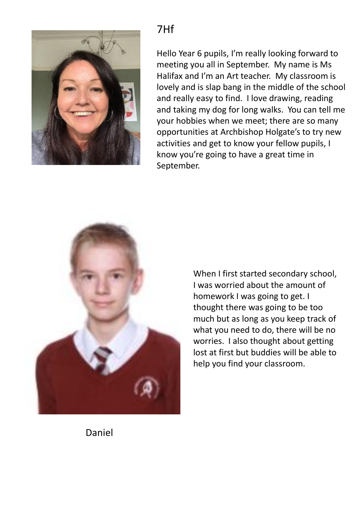

## 7Hf

Hello Year 6 pupils, I'm really looking forward to meeting you all in September. My name is Ms Halifax and I'm an Art teacher. My classroom is lovely and is slap bang in the middle of the school and really easy to find. I love drawing, reading and taking my dog for long walks. You can tell me your hobbies when we meet; there are so many opportunities at Archbishop Holgate's to try new activities and get to know your fellow pupils, I know you're going to have a great time in September.



When I first started secondary school, I was worried about the amount of homework I was going to get. I thought there was going to be too much but as long as you keep track of what you need to do, there will be no worries. I also thought about getting lost at first but buddies will be able to help you find your classroom.

Daniel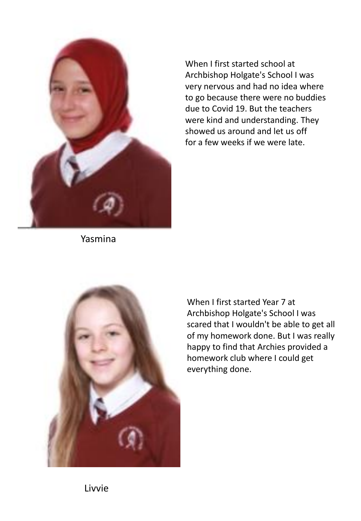

When I first started school at Archbishop Holgate's School I was very nervous and had no idea where to go because there were no buddies due to Covid 19. But the teachers were kind and understanding. They showed us around and let us off for a few weeks if we were late.

Yasmina



When I first started Year 7 at Archbishop Holgate's School I was scared that I wouldn't be able to get all of my homework done. But I was really happy to find that Archies provided a homework club where I could get everything done.

Livvie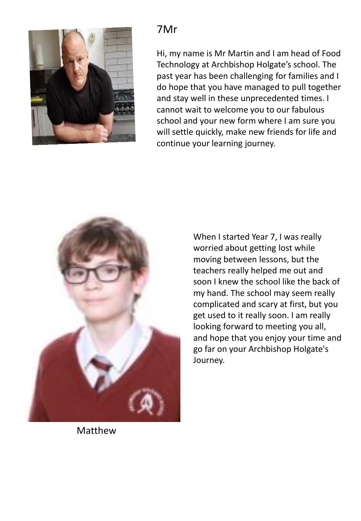

#### 7Mr

Hi, my name is Mr Martin and I am head of Food Technology at Archbishop Holgate's school. The past year has been challenging for families and I do hope that you have managed to pull together and stay well in these unprecedented times. I cannot wait to welcome you to our fabulous school and your new form where I am sure you will settle quickly, make new friends for life and continue your learning journey.



When I started Year 7, I was really worried about getting lost while moving between lessons, but the teachers really helped me out and soon I knew the school like the back of my hand. The school may seem really complicated and scary at first, but you get used to it really soon. I am really looking forward to meeting you all, and hope that you enjoy your time and go far on your Archbishop Holgate's Journey.

Matthew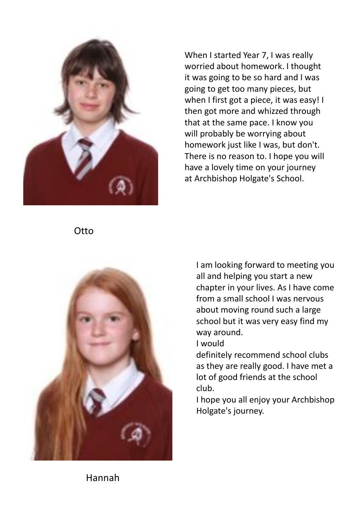

When I started Year 7, I was really worried about homework. I thought it was going to be so hard and I was going to get too many pieces, but when I first got a piece, it was easy! I then got more and whizzed through that at the same pace. I know you will probably be worrying about homework just like I was, but don't. There is no reason to. I hope you will have a lovely time on your journey at Archbishop Holgate's School.

**Otto** 



I am looking forward to meeting you all and helping you start a new chapter in your lives. As I have come from a small school I was nervous about moving round such a large school but it was very easy find my way around.

I would

definitely recommend school clubs as they are really good. I have met a lot of good friends at the school club.

I hope you all enjoy your Archbishop Holgate's journey.

Hannah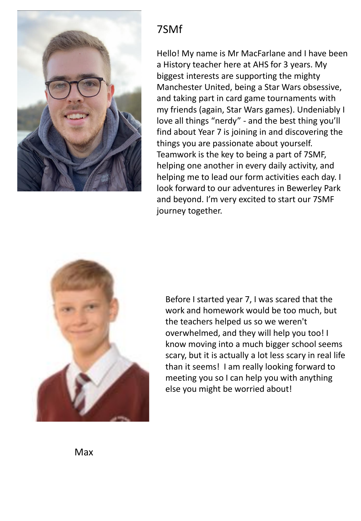

## 7SMf

Hello! My name is Mr MacFarlane and I have been a History teacher here at AHS for 3 years. My biggest interests are supporting the mighty Manchester United, being a Star Wars obsessive, and taking part in card game tournaments with my friends (again, Star Wars games). Undeniably I love all things "nerdy" - and the best thing you'll find about Year 7 is joining in and discovering the things you are passionate about yourself. Teamwork is the key to being a part of 7SMF, helping one another in every daily activity, and helping me to lead our form activities each day. I look forward to our adventures in Bewerley Park and beyond. I'm very excited to start our 7SMF journey together.



Before I started year 7, I was scared that the work and homework would be too much, but the teachers helped us so we weren't overwhelmed, and they will help you too! I know moving into a much bigger school seems scary, but it is actually a lot less scary in real life than it seems! I am really looking forward to meeting you so I can help you with anything else you might be worried about!

Max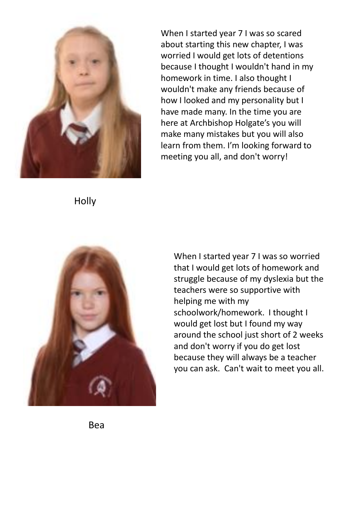

When I started year 7 I was so scared about starting this new chapter, I was worried I would get lots of detentions because I thought I wouldn't hand in my homework in time. I also thought I wouldn't make any friends because of how I looked and my personality but I have made many. In the time you are here at Archbishop Holgate's you will make many mistakes but you will also learn from them. I'm looking forward to meeting you all, and don't worry!

Holly



When I started year 7 I was so worried that I would get lots of homework and struggle because of my dyslexia but the teachers were so supportive with helping me with my schoolwork/homework. I thought I would get lost but I found my way around the school just short of 2 weeks and don't worry if you do get lost because they will always be a teacher you can ask. Can't wait to meet you all.

Bea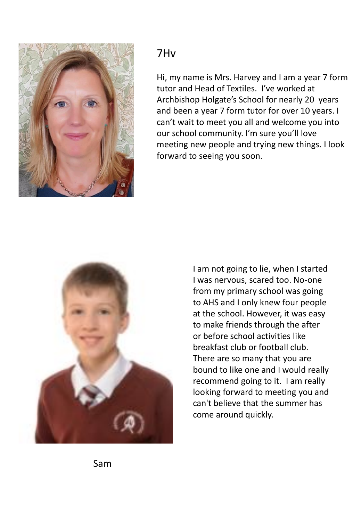

#### 7Hv

Hi, my name is Mrs. Harvey and I am a year 7 form tutor and Head of Textiles. I've worked at Archbishop Holgate's School for nearly 20 years and been a year 7 form tutor for over 10 years. I can't wait to meet you all and welcome you into our school community. I'm sure you'll love meeting new people and trying new things. I look forward to seeing you soon.



I am not going to lie, when I started I was nervous, scared too. No-one from my primary school was going to AHS and I only knew four people at the school. However, it was easy to make friends through the after or before school activities like breakfast club or football club. There are so many that you are bound to like one and I would really recommend going to it. I am really looking forward to meeting you and can't believe that the summer has come around quickly.

Sam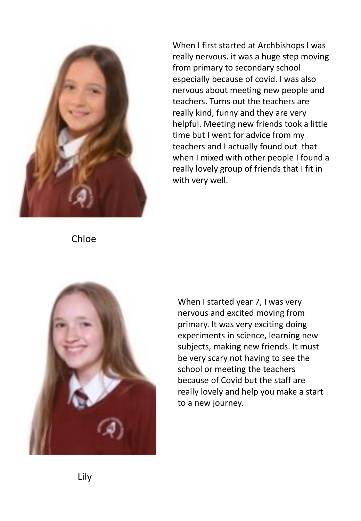

When I first started at Archbishops I was really nervous. it was a huge step moving from primary to secondary school especially because of covid. I was also nervous about meeting new people and teachers. Turns out the teachers are really kind, funny and they are very helpful. Meeting new friends took a little time but I went for advice from my teachers and I actually found out that when I mixed with other people I found a really lovely group of friends that I fit in with very well.

Chloe



When I started year 7, I was very nervous and excited moving from primary. It was very exciting doing experiments in science, learning new subjects, making new friends. It must be very scary not having to see the school or meeting the teachers because of Covid but the staff are really lovely and help you make a start to a new journey.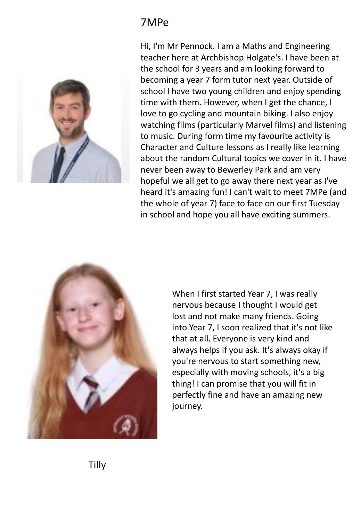## 7MPe



Hi, I'm Mr Pennock. I am a Maths and Engineering teacher here at Archbishop Holgate's. I have been at the school for 3 years and am looking forward to becoming a year 7 form tutor next year. Outside of school I have two young children and enjoy spending time with them. However, when I get the chance, I love to go cycling and mountain biking. I also enjoy watching films (particularly Marvel films) and listening to music. During form time my favourite activity is Character and Culture lessons as I really like learning about the random Cultural topics we cover in it. I have never been away to Bewerley Park and am very hopeful we all get to go away there next year as I've heard it's amazing fun! I can't wait to meet 7MPe (and the whole of year 7) face to face on our first Tuesday in school and hope you all have exciting summers.



When I first started Year 7, I was really nervous because I thought I would get lost and not make many friends. Going into Year 7, I soon realized that it's not like that at all. Everyone is very kind and always helps if you ask. It's always okay if you're nervous to start something new, especially with moving schools, it's a big thing! I can promise that you will fit in perfectly fine and have an amazing new journey.

Tilly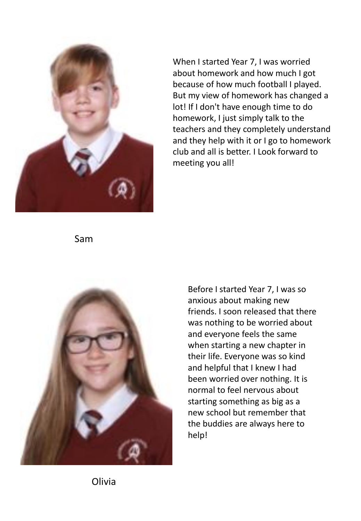

When I started Year 7, I was worried about homework and how much I got because of how much football I played. But my view of homework has changed a lot! If I don't have enough time to do homework, I just simply talk to the teachers and they completely understand and they help with it or I go to homework club and all is better. I Look forward to meeting you all!

Sam



Before I started Year 7, I was so anxious about making new friends. I soon released that there was nothing to be worried about and everyone feels the same when starting a new chapter in their life. Everyone was so kind and helpful that I knew I had been worried over nothing. It is normal to feel nervous about starting something as big as a new school but remember that the buddies are always here to help!

Olivia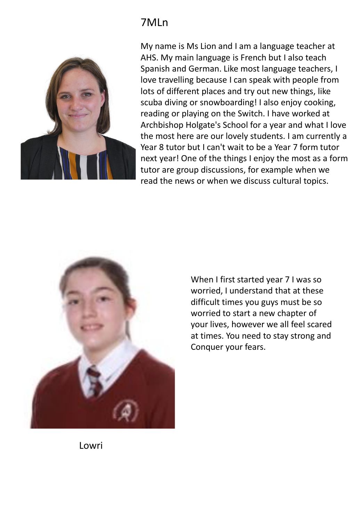### 7MLn



My name is Ms Lion and I am a language teacher at AHS. My main language is French but I also teach Spanish and German. Like most language teachers, I love travelling because I can speak with people from lots of different places and try out new things, like scuba diving or snowboarding! I also enjoy cooking, reading or playing on the Switch. I have worked at Archbishop Holgate's School for a year and what I love the most here are our lovely students. I am currently a Year 8 tutor but I can't wait to be a Year 7 form tutor next year! One of the things I enjoy the most as a form tutor are group discussions, for example when we read the news or when we discuss cultural topics.



When I first started year 7 I was so worried, I understand that at these difficult times you guys must be so worried to start a new chapter of your lives, however we all feel scared at times. You need to stay strong and Conquer your fears.

Lowri